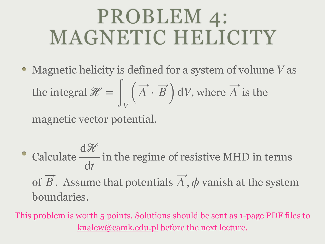## PROBLEM 4: MAGNETIC HELICITY

Magnetic helicity is defined for a system of volume V as the integral  $\mathcal{H} = \int_{V} (A \cdot B) dV$ , where A is the  $\overline{d}$  available  $\overline{A}$ 

magnetic vector potential.

Calculate  $\frac{1}{\sqrt{2}}$  in the regime of resistive MHD in terms of  $B$ . Assume that potentials  $A$ ,  $\phi$  vanish at the system boundaries. dℋ d*t* ⃗ ⃗

This problem is worth 5 points. Solutions should be sent as 1-page PDF files to [knalew@camk.edu.pl](mailto:knalew@camk.edu.pl) before the next lecture.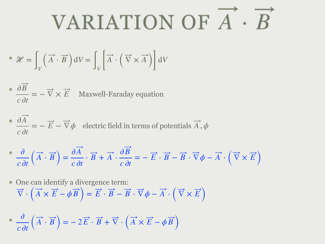## VARIATION OF *A* ⋅ *B*

• 
$$
\mathcal{H} = \int_{V} (\overrightarrow{A} \cdot \overrightarrow{B}) dV = \int_{V} \left[ \overrightarrow{A} \cdot (\overrightarrow{\nabla} \times \overrightarrow{A}) \right] dV
$$

• 
$$
\frac{\partial B}{\partial t} = -\overrightarrow{\nabla} \times \overrightarrow{E}
$$
 Maxwell-Faraday equation

• 
$$
\frac{\partial A}{\partial t} = -\vec{E} - \vec{\nabla} \phi
$$
 electric field in terms of potentials  $\vec{A}$ ,  $\phi$ 

$$
\frac{\partial}{\partial t} \left( \overrightarrow{A} \cdot \overrightarrow{B} \right) = \frac{\partial \overrightarrow{A}}{\partial t} \cdot \overrightarrow{B} + \overrightarrow{A} \cdot \frac{\partial \overrightarrow{B}}{\partial t} = -\overrightarrow{E} \cdot \overrightarrow{B} - \overrightarrow{B} \cdot \overrightarrow{\nabla} \phi - \overrightarrow{A} \cdot \left( \overrightarrow{\nabla} \times \overrightarrow{E} \right)
$$

• One can identify a divergence term:  
\n
$$
\vec{\nabla} \cdot (\vec{A} \times \vec{E} - \phi \vec{B}) = \vec{E} \cdot \vec{B} - \vec{B} \cdot \vec{\nabla} \phi - \vec{A} \cdot (\vec{\nabla} \times \vec{E})
$$

$$
\bullet \ \frac{\partial}{c \partial t} \left( \overrightarrow{A} \cdot \overrightarrow{B} \right) = -2\overrightarrow{E} \cdot \overrightarrow{B} + \overrightarrow{\nabla} \cdot \left( \overrightarrow{A} \times \overrightarrow{E} - \phi \overrightarrow{B} \right)
$$